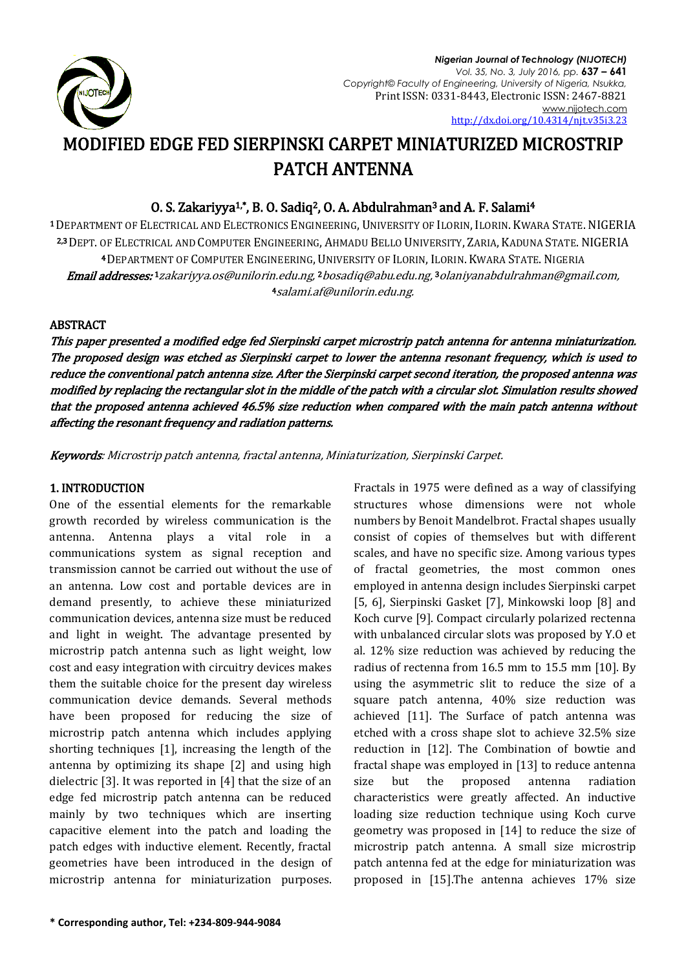

*Nigerian Journal of Technology (NIJOTECH) Vol. 35, No. 3, July 2016, pp.* **637 – 641** *Copyright© Faculty of Engineering, University of Nigeria, Nsukka,*  Print ISSN: 0331-8443, Electronic ISSN: 2467-8821 [www.nijotech.com](http://www.nijotech.com/) [http://dx.doi.org/10.4314/njt.v35i3.2](http://dx.doi.org/10.4314/njt.v35i3.1)3

# MODIFIED EDGE FED SIERPINSKI CARPET MINIATURIZED MICROSTRIP PATCH ANTENNA

# O. S. Zakariyya<sup>1,\*</sup>, B. O. Sadiq<sup>2</sup>, O. A. Abdulrahman<sup>3</sup> and A. F. Salami<sup>4</sup>

<sup>1</sup>DEPARTMENT OF ELECTRICAL AND ELECTRONICS ENGINEERING, UNIVERSITY OF ILORIN, ILORIN. KWARA STATE. NIGERIA 2,3 DEPT. OF ELECTRICAL AND COMPUTER ENGINEERING, AHMADU BELLO UNIVERSITY, ZARIA, KADUNA STATE. NIGERIA <sup>4</sup> DEPARTMENT OF COMPUTER ENGINEERING, UNIVERSITY OF ILORIN, ILORIN. KWARA STATE. NIGERIA **Email addresses: 1** [zakariyya.os@unilorin.edu.ng,](mailto:zakariyya.os@unilorin.edu.ng) <sup>2</sup> [bosadiq@abu.edu.ng,](mailto:bosadiq@abu.edu.ng) <sup>3</sup> olaniyanabdulrahman@gmail.com, <sup>4</sup>[salami.af@unilorin.edu.ng.](mailto:salami.af@unilorin.edu.ng)

# **ABSTRACT**

This paper presented a modified edge fed Sierpinski carpet microstrip patch antenna for antenna miniaturization. The proposed design was etched as Sierpinski carpet to lower the antenna resonant frequency, which is used to reduce the conventional patch antenna size. After the Sierpinski carpet second iteration, the proposed antenna was modified by replacing the rectangular slot in the middle of the patch with a circular slot. Simulation results showed that the proposed antenna achieved 46.5% size reduction when compared with the main patch antenna without affecting the resonant frequency and radiation patterns.

Keywords: Microstrip patch antenna, fractal antenna, Miniaturization, Sierpinski Carpet.

# 1. INTRODUCTION

One of the essential elements for the remarkable growth recorded by wireless communication is the antenna. Antenna plays a vital role in a communications system as signal reception and transmission cannot be carried out without the use of an antenna. Low cost and portable devices are in demand presently, to achieve these miniaturized communication devices, antenna size must be reduced and light in weight. The advantage presented by microstrip patch antenna such as light weight, low cost and easy integration with circuitry devices makes them the suitable choice for the present day wireless communication device demands. Several methods have been proposed for reducing the size of microstrip patch antenna which includes applying shorting techniques [1], increasing the length of the antenna by optimizing its shape [2] and using high dielectric [3]. It was reported in [4] that the size of an edge fed microstrip patch antenna can be reduced mainly by two techniques which are inserting capacitive element into the patch and loading the patch edges with inductive element. Recently, fractal geometries have been introduced in the design of microstrip antenna for miniaturization purposes.

structures whose dimensions were not whole numbers by Benoit Mandelbrot. Fractal shapes usually consist of copies of themselves but with different scales, and have no specific size. Among various types of fractal geometries, the most common ones employed in antenna design includes Sierpinski carpet [5, 6], Sierpinski Gasket [7], Minkowski loop [8] and Koch curve [9]. Compact circularly polarized rectenna with unbalanced circular slots was proposed by Y.O et al. 12% size reduction was achieved by reducing the radius of rectenna from 16.5 mm to 15.5 mm [10]. By using the asymmetric slit to reduce the size of a square patch antenna, 40% size reduction was achieved [11]. The Surface of patch antenna was etched with a cross shape slot to achieve 32.5% size reduction in [12]. The Combination of bowtie and fractal shape was employed in [13] to reduce antenna size but the proposed antenna radiation characteristics were greatly affected. An inductive loading size reduction technique using Koch curve geometry was proposed in [14] to reduce the size of microstrip patch antenna. A small size microstrip patch antenna fed at the edge for miniaturization was proposed in [15].The antenna achieves 17% size

Fractals in 1975 were defined as a way of classifying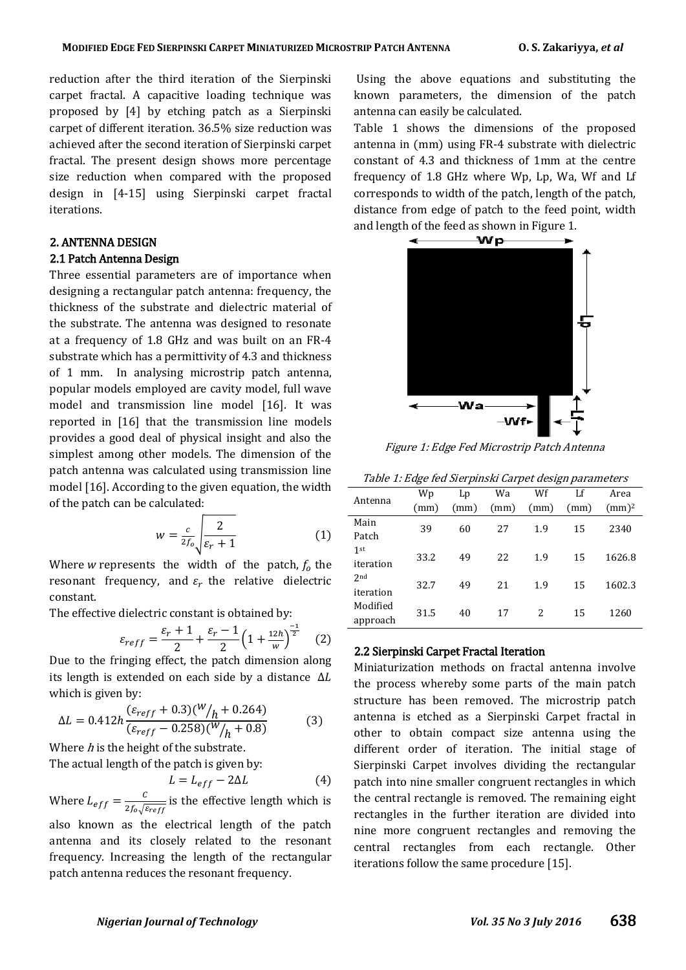reduction after the third iteration of the Sierpinski carpet fractal. A capacitive loading technique was proposed by [4] by etching patch as a Sierpinski carpet of different iteration. 36.5% size reduction was achieved after the second iteration of Sierpinski carpet fractal. The present design shows more percentage size reduction when compared with the proposed design in [4-15] using Sierpinski carpet fractal iterations.

#### 2. ANTENNA DESIGN

#### 2.1 Patch Antenna Design

Three essential parameters are of importance when designing a rectangular patch antenna: frequency, the thickness of the substrate and dielectric material of the substrate. The antenna was designed to resonate at a frequency of 1.8 GHz and was built on an FR-4 substrate which has a permittivity of 4.3 and thickness of 1 mm. In analysing microstrip patch antenna, popular models employed are cavity model, full wave model and transmission line model [16]. It was reported in [16] that the transmission line models provides a good deal of physical insight and also the simplest among other models. The dimension of the patch antenna was calculated using transmission line model [16]. According to the given equation, the width of the patch can be calculated:

$$
w = \frac{c}{2f_0} \sqrt{\frac{2}{\varepsilon_r + 1}}\tag{1}
$$

Where *w* represents the width of the patch,  $f_0$  the resonant frequency, and  $\varepsilon_r$  the relative dielectric constant.

The effective dielectric constant is obtained by:

$$
\varepsilon_{reff} = \frac{\varepsilon_r + 1}{2} + \frac{\varepsilon_r - 1}{2} \left( 1 + \frac{12h}{w} \right)^{\frac{-1}{2}} \quad (2)
$$

Due to the fringing effect, the patch dimension along its length is extended on each side by a distance  $\Delta L$ which is given by:

$$
\Delta L = 0.412h \frac{(\varepsilon_{reff} + 0.3)(W/h + 0.264)}{(\varepsilon_{reff} - 0.258)(W/h + 0.8)}
$$
(3)

Where  $h$  is the height of the substrate.

The actual length of the patch is given by:

L

$$
=L_{eff}-2\Delta L \tag{4}
$$

Where  $L_{eff} = \frac{C}{\lambda f E}$  $rac{c}{2f_0\sqrt{\epsilon_{reff}}}$  is the effective length which is also known as the electrical length of the patch

antenna and its closely related to the resonant frequency. Increasing the length of the rectangular patch antenna reduces the resonant frequency.

Using the above equations and substituting the known parameters, the dimension of the patch antenna can easily be calculated.

Table 1 shows the dimensions of the proposed antenna in (mm) using FR-4 substrate with dielectric constant of 4.3 and thickness of 1mm at the centre frequency of 1.8 GHz where Wp, Lp, Wa, Wf and Lf corresponds to width of the patch, length of the patch, distance from edge of patch to the feed point, width and length of the feed as shown in Figure 1.



Figure 1: Edge Fed Microstrip Patch Antenna

|  | Table 1: Edge fed Sierpinski Carpet design parameters |  |
|--|-------------------------------------------------------|--|
|  |                                                       |  |

| Antenna         | Wp   | Lp   | Wa   | Wf   | Lf   | Area     |
|-----------------|------|------|------|------|------|----------|
|                 | (mm) | (mm) | (mm) | (mm) | (mm) | $(mm)^2$ |
| Main            | 39   | 60   | 27   | 1.9  | 15   | 2340     |
| Patch           |      |      |      |      |      |          |
| 1st             | 33.2 | 49   | 22   | 1.9  | 15   | 1626.8   |
| iteration       |      |      |      |      |      |          |
| 2 <sub>nd</sub> | 32.7 | 49   | 21   | 1.9  | 15   | 1602.3   |
| iteration       |      |      |      |      |      |          |
| Modified        | 31.5 | 40   | 17   | 2    | 15   | 1260     |
| approach        |      |      |      |      |      |          |

# 2.2 Sierpinski Carpet Fractal Iteration

Miniaturization methods on fractal antenna involve the process whereby some parts of the main patch structure has been removed. The microstrip patch antenna is etched as a Sierpinski Carpet fractal in other to obtain compact size antenna using the different order of iteration. The initial stage of Sierpinski Carpet involves dividing the rectangular patch into nine smaller congruent rectangles in which the central rectangle is removed. The remaining eight rectangles in the further iteration are divided into nine more congruent rectangles and removing the central rectangles from each rectangle. Other iterations follow the same procedure [15].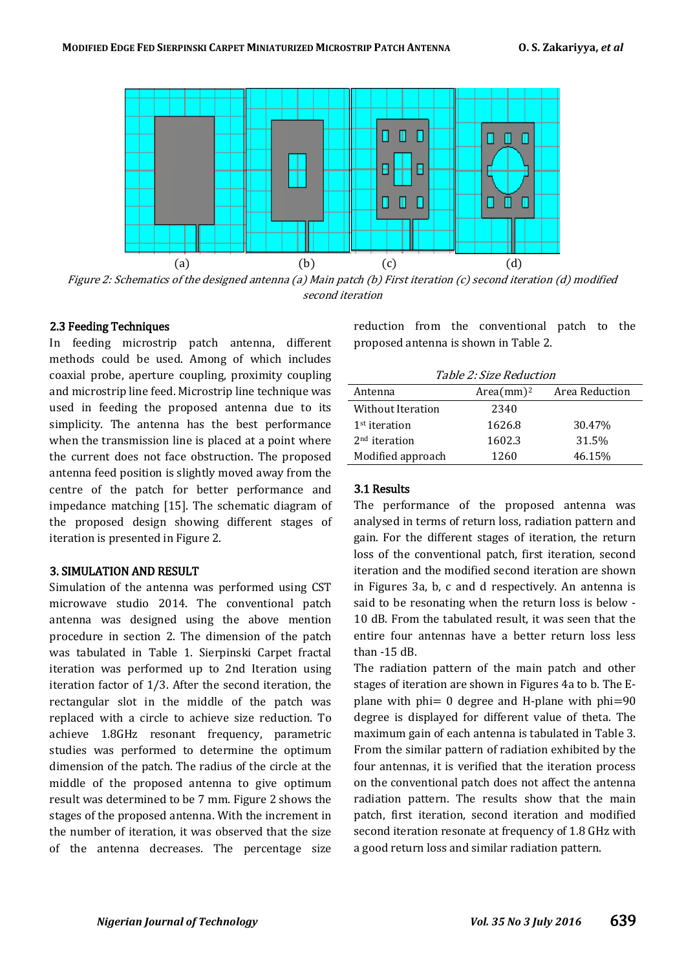

Figure 2: Schematics of the designed antenna (a) Main patch (b) First iteration (c) second iteration (d) modified second iteration

# 2.3 Feeding Techniques

In feeding microstrip patch antenna, different methods could be used. Among of which includes coaxial probe, aperture coupling, proximity coupling and microstrip line feed. Microstrip line technique was used in feeding the proposed antenna due to its simplicity. The antenna has the best performance when the transmission line is placed at a point where the current does not face obstruction. The proposed antenna feed position is slightly moved away from the centre of the patch for better performance and impedance matching [15]. The schematic diagram of the proposed design showing different stages of iteration is presented in Figure 2.

#### 3. SIMULATION AND RESULT

Simulation of the antenna was performed using CST microwave studio 2014. The conventional patch antenna was designed using the above mention procedure in section 2. The dimension of the patch was tabulated in Table 1. Sierpinski Carpet fractal iteration was performed up to 2nd Iteration using iteration factor of 1/3. After the second iteration, the rectangular slot in the middle of the patch was replaced with a circle to achieve size reduction. To achieve 1.8GHz resonant frequency, parametric studies was performed to determine the optimum dimension of the patch. The radius of the circle at the middle of the proposed antenna to give optimum result was determined to be 7 mm. Figure 2 shows the stages of the proposed antenna. With the increment in the number of iteration, it was observed that the size of the antenna decreases. The percentage size reduction from the conventional patch to the proposed antenna is shown in Table 2.

Table 2: Size Reduction

| Antenna           | $Area(mm)^2$ | Area Reduction |
|-------------------|--------------|----------------|
| Without Iteration | 2340         |                |
| $1st$ iteration   | 1626.8       | 30.47%         |
| $2nd$ iteration   | 1602.3       | 31.5%          |
| Modified approach | 1260         | 46.15%         |

#### 3.1 Results

The performance of the proposed antenna was analysed in terms of return loss, radiation pattern and gain. For the different stages of iteration, the return loss of the conventional patch, first iteration, second iteration and the modified second iteration are shown in Figures 3a, b, c and d respectively. An antenna is said to be resonating when the return loss is below - 10 dB. From the tabulated result, it was seen that the entire four antennas have a better return loss less than -15 dB.

The radiation pattern of the main patch and other stages of iteration are shown in Figures 4a to b. The Eplane with  $phi= 0$  degree and H-plane with  $phi=90$ degree is displayed for different value of theta. The maximum gain of each antenna is tabulated in Table 3. From the similar pattern of radiation exhibited by the four antennas, it is verified that the iteration process on the conventional patch does not affect the antenna radiation pattern. The results show that the main patch, first iteration, second iteration and modified second iteration resonate at frequency of 1.8 GHz with a good return loss and similar radiation pattern.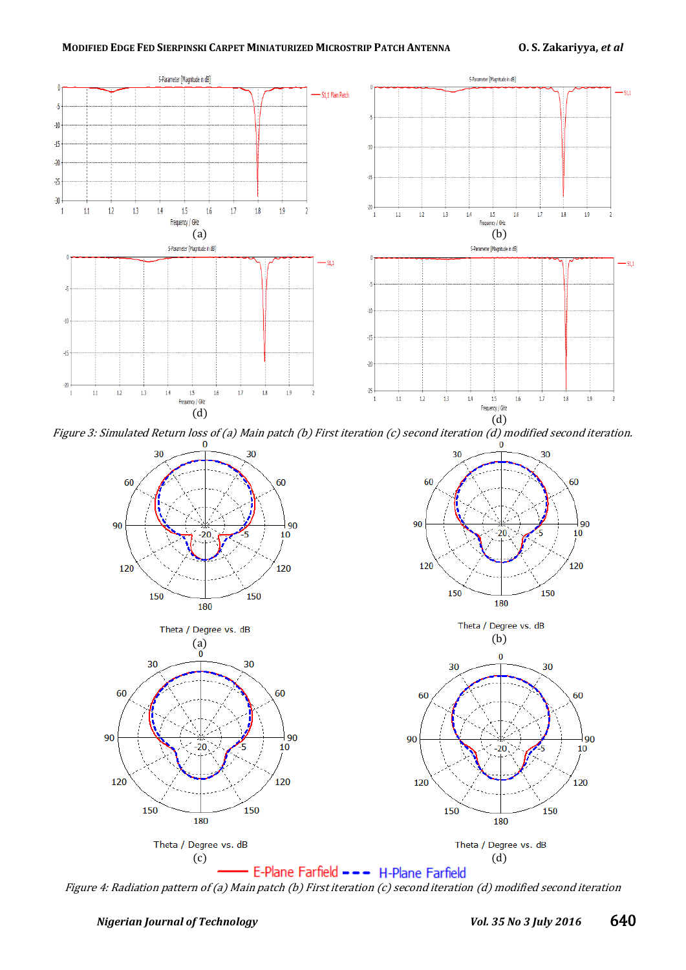

Figure 3: Simulated Return loss of (a) Main patch (b) First iteration (c) second iteration (d) modified second iteration.<br>0



Figure 4: Radiation pattern of (a) Main patch (b) First iteration (c) second iteration (d) modified second iteration